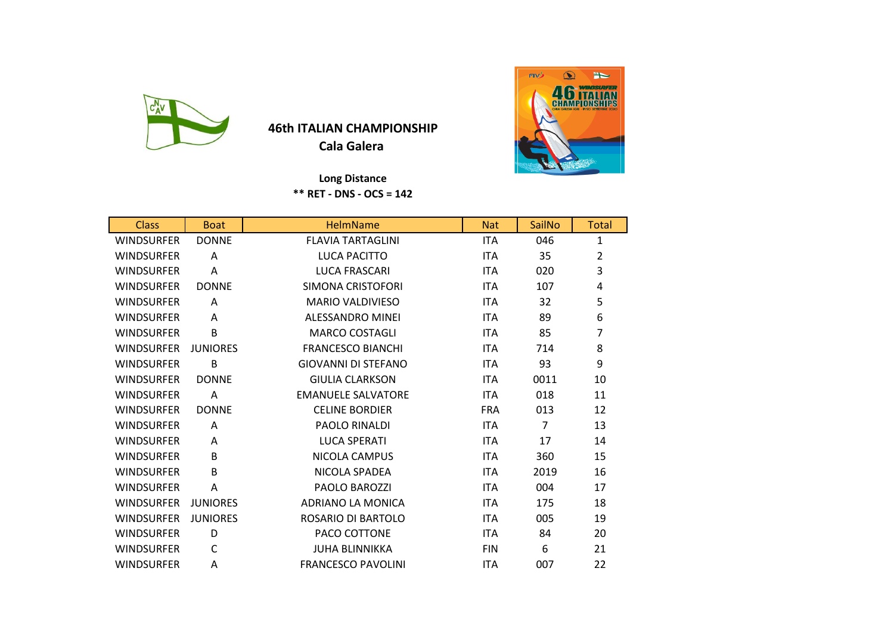

## **46th ITALIAN CHAMPIONSHIP Cala Galera**

 **Long Distance** 

**\*\* RET - DNS - OCS = 142**

| <b>Class</b>      | <b>Boat</b>     | <b>HelmName</b>            | <b>Nat</b> | SailNo         | <b>Total</b>   |
|-------------------|-----------------|----------------------------|------------|----------------|----------------|
| <b>WINDSURFER</b> | <b>DONNE</b>    | <b>FLAVIA TARTAGLINI</b>   | <b>ITA</b> | 046            | $\mathbf{1}$   |
| <b>WINDSURFER</b> | A               | LUCA PACITTO               | <b>ITA</b> | 35             | $\overline{2}$ |
| <b>WINDSURFER</b> | A               | <b>LUCA FRASCARI</b>       | <b>ITA</b> | 020            | 3              |
| <b>WINDSURFER</b> | <b>DONNE</b>    | SIMONA CRISTOFORI          | <b>ITA</b> | 107            | 4              |
| <b>WINDSURFER</b> | A               | <b>MARIO VALDIVIESO</b>    | <b>ITA</b> | 32             | 5              |
| <b>WINDSURFER</b> | A               | <b>ALESSANDRO MINEI</b>    | <b>ITA</b> | 89             | 6              |
| <b>WINDSURFER</b> | B               | <b>MARCO COSTAGLI</b>      | ITA.       | 85             | $\overline{7}$ |
| <b>WINDSURFER</b> | <b>JUNIORES</b> | <b>FRANCESCO BIANCHI</b>   | <b>ITA</b> | 714            | 8              |
| <b>WINDSURFER</b> | B               | <b>GIOVANNI DI STEFANO</b> | ITA.       | 93             | 9              |
| <b>WINDSURFER</b> | <b>DONNE</b>    | <b>GIULIA CLARKSON</b>     | <b>ITA</b> | 0011           | 10             |
| <b>WINDSURFER</b> | Α               | <b>EMANUELE SALVATORE</b>  | <b>ITA</b> | 018            | 11             |
| <b>WINDSURFER</b> | <b>DONNE</b>    | <b>CELINE BORDIER</b>      | <b>FRA</b> | 013            | 12             |
| <b>WINDSURFER</b> | A               | PAOLO RINALDI              | <b>ITA</b> | $\overline{7}$ | 13             |
| <b>WINDSURFER</b> | A               | <b>LUCA SPERATI</b>        | <b>ITA</b> | 17             | 14             |
| <b>WINDSURFER</b> | B               | NICOLA CAMPUS              | <b>ITA</b> | 360            | 15             |
| <b>WINDSURFER</b> | B               | NICOLA SPADEA              | <b>ITA</b> | 2019           | 16             |
| <b>WINDSURFER</b> | Α               | <b>PAOLO BAROZZI</b>       | <b>ITA</b> | 004            | 17             |
| <b>WINDSURFER</b> | <b>JUNIORES</b> | ADRIANO LA MONICA          | <b>ITA</b> | 175            | 18             |
| <b>WINDSURFER</b> | <b>JUNIORES</b> | ROSARIO DI BARTOLO         | ITA.       | 005            | 19             |
| <b>WINDSURFER</b> | D               | PACO COTTONE               | <b>ITA</b> | 84             | 20             |
| <b>WINDSURFER</b> | C               | <b>JUHA BLINNIKKA</b>      | <b>FIN</b> | 6              | 21             |
| <b>WINDSURFER</b> | A               | <b>FRANCESCO PAVOLINI</b>  | <b>ITA</b> | 007            | 22             |

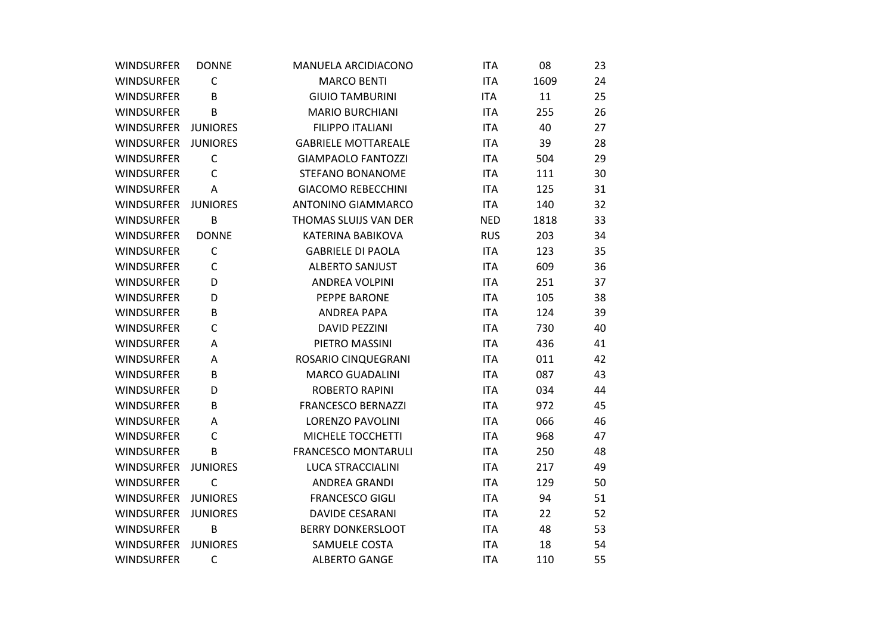| <b>WINDSURFER</b>   | <b>DONNE</b>    | MANUELA ARCIDIACONO        | <b>ITA</b> | 08   | 23 |
|---------------------|-----------------|----------------------------|------------|------|----|
| <b>WINDSURFER</b>   | $\mathsf C$     | <b>MARCO BENTI</b>         | <b>ITA</b> | 1609 | 24 |
| <b>WINDSURFER</b>   | B               | <b>GIUIO TAMBURINI</b>     | <b>ITA</b> | 11   | 25 |
| <b>WINDSURFER</b>   | B               | <b>MARIO BURCHIANI</b>     | <b>ITA</b> | 255  | 26 |
| WINDSURFER JUNIORES |                 | <b>FILIPPO ITALIANI</b>    | <b>ITA</b> | 40   | 27 |
| <b>WINDSURFER</b>   | <b>JUNIORES</b> | <b>GABRIELE MOTTAREALE</b> | <b>ITA</b> | 39   | 28 |
| <b>WINDSURFER</b>   | $\mathsf C$     | <b>GIAMPAOLO FANTOZZI</b>  | <b>ITA</b> | 504  | 29 |
| <b>WINDSURFER</b>   | $\mathsf{C}$    | <b>STEFANO BONANOME</b>    | <b>ITA</b> | 111  | 30 |
| <b>WINDSURFER</b>   | A               | <b>GIACOMO REBECCHINI</b>  | <b>ITA</b> | 125  | 31 |
| WINDSURFER JUNIORES |                 | <b>ANTONINO GIAMMARCO</b>  | <b>ITA</b> | 140  | 32 |
| <b>WINDSURFER</b>   | B               | THOMAS SLUIJS VAN DER      | <b>NED</b> | 1818 | 33 |
| <b>WINDSURFER</b>   | <b>DONNE</b>    | KATERINA BABIKOVA          | <b>RUS</b> | 203  | 34 |
| <b>WINDSURFER</b>   | C               | <b>GABRIELE DI PAOLA</b>   | <b>ITA</b> | 123  | 35 |
| <b>WINDSURFER</b>   | $\mathsf C$     | <b>ALBERTO SANJUST</b>     | <b>ITA</b> | 609  | 36 |
| <b>WINDSURFER</b>   | D               | ANDREA VOLPINI             | <b>ITA</b> | 251  | 37 |
| <b>WINDSURFER</b>   | D               | PEPPE BARONE               | <b>ITA</b> | 105  | 38 |
| <b>WINDSURFER</b>   | B               | ANDREA PAPA                | <b>ITA</b> | 124  | 39 |
| <b>WINDSURFER</b>   | $\mathsf{C}$    | <b>DAVID PEZZINI</b>       | <b>ITA</b> | 730  | 40 |
| <b>WINDSURFER</b>   | Α               | PIETRO MASSINI             | <b>ITA</b> | 436  | 41 |
| <b>WINDSURFER</b>   | A               | ROSARIO CINQUEGRANI        | <b>ITA</b> | 011  | 42 |
| <b>WINDSURFER</b>   | B               | <b>MARCO GUADALINI</b>     | <b>ITA</b> | 087  | 43 |
| <b>WINDSURFER</b>   | D               | <b>ROBERTO RAPINI</b>      | <b>ITA</b> | 034  | 44 |
| <b>WINDSURFER</b>   | В               | <b>FRANCESCO BERNAZZI</b>  | <b>ITA</b> | 972  | 45 |
| <b>WINDSURFER</b>   | A               | <b>LORENZO PAVOLINI</b>    | <b>ITA</b> | 066  | 46 |
| <b>WINDSURFER</b>   | $\mathsf{C}$    | MICHELE TOCCHETTI          | <b>ITA</b> | 968  | 47 |
| <b>WINDSURFER</b>   | B               | <b>FRANCESCO MONTARULI</b> | <b>ITA</b> | 250  | 48 |
| <b>WINDSURFER</b>   | <b>JUNIORES</b> | <b>LUCA STRACCIALINI</b>   | <b>ITA</b> | 217  | 49 |
| <b>WINDSURFER</b>   | $\mathsf{C}$    | ANDREA GRANDI              | <b>ITA</b> | 129  | 50 |
| WINDSURFER JUNIORES |                 | <b>FRANCESCO GIGLI</b>     | <b>ITA</b> | 94   | 51 |
| <b>WINDSURFER</b>   | <b>JUNIORES</b> | <b>DAVIDE CESARANI</b>     | <b>ITA</b> | 22   | 52 |
| WINDSURFER          | B               | <b>BERRY DONKERSLOOT</b>   | <b>ITA</b> | 48   | 53 |
| WINDSURFER          | <b>JUNIORES</b> | SAMUELE COSTA              | <b>ITA</b> | 18   | 54 |
| <b>WINDSURFER</b>   | $\mathsf{C}$    | <b>ALBERTO GANGE</b>       | <b>ITA</b> | 110  | 55 |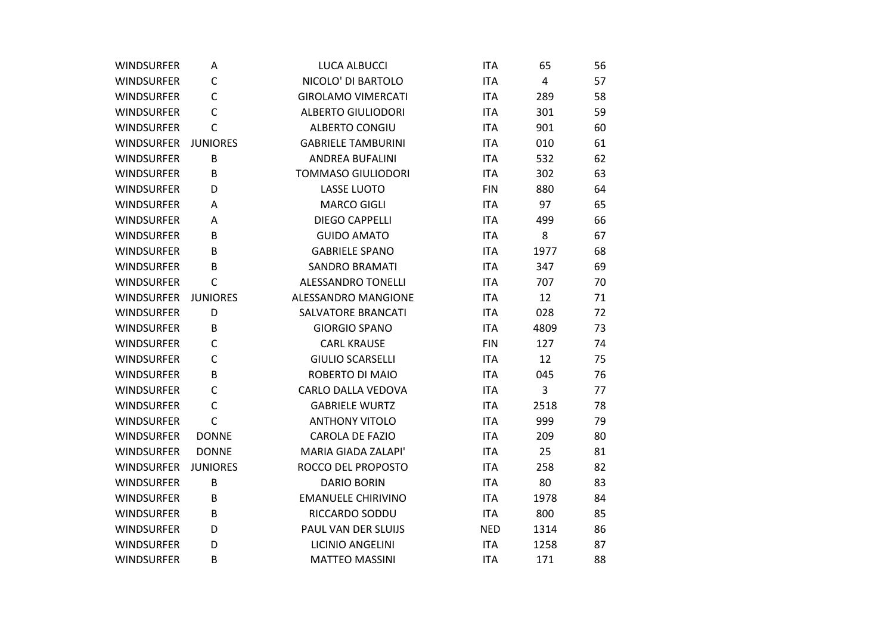| <b>WINDSURFER</b> | A               | <b>LUCA ALBUCCI</b>       | <b>ITA</b> | 65             | 56 |
|-------------------|-----------------|---------------------------|------------|----------------|----|
| <b>WINDSURFER</b> | C               | NICOLO' DI BARTOLO        | <b>ITA</b> | $\overline{4}$ | 57 |
| <b>WINDSURFER</b> | C               | <b>GIROLAMO VIMERCATI</b> | <b>ITA</b> | 289            | 58 |
| <b>WINDSURFER</b> | C               | <b>ALBERTO GIULIODORI</b> | <b>ITA</b> | 301            | 59 |
| <b>WINDSURFER</b> | $\mathsf{C}$    | <b>ALBERTO CONGIU</b>     | <b>ITA</b> | 901            | 60 |
| <b>WINDSURFER</b> | <b>JUNIORES</b> | <b>GABRIELE TAMBURINI</b> | <b>ITA</b> | 010            | 61 |
| <b>WINDSURFER</b> | B               | <b>ANDREA BUFALINI</b>    | <b>ITA</b> | 532            | 62 |
| <b>WINDSURFER</b> | B               | <b>TOMMASO GIULIODORI</b> | <b>ITA</b> | 302            | 63 |
| <b>WINDSURFER</b> | D               | <b>LASSE LUOTO</b>        | <b>FIN</b> | 880            | 64 |
| <b>WINDSURFER</b> | A               | <b>MARCO GIGLI</b>        | <b>ITA</b> | 97             | 65 |
| <b>WINDSURFER</b> | A               | <b>DIEGO CAPPELLI</b>     | <b>ITA</b> | 499            | 66 |
| <b>WINDSURFER</b> | B               | <b>GUIDO AMATO</b>        | <b>ITA</b> | 8              | 67 |
| <b>WINDSURFER</b> | B               | <b>GABRIELE SPANO</b>     | <b>ITA</b> | 1977           | 68 |
| <b>WINDSURFER</b> | B               | <b>SANDRO BRAMATI</b>     | <b>ITA</b> | 347            | 69 |
| <b>WINDSURFER</b> | $\mathsf{C}$    | <b>ALESSANDRO TONELLI</b> | <b>ITA</b> | 707            | 70 |
| <b>WINDSURFER</b> | <b>JUNIORES</b> | ALESSANDRO MANGIONE       | <b>ITA</b> | 12             | 71 |
| <b>WINDSURFER</b> | D               | <b>SALVATORE BRANCATI</b> | <b>ITA</b> | 028            | 72 |
| <b>WINDSURFER</b> | B               | <b>GIORGIO SPANO</b>      | <b>ITA</b> | 4809           | 73 |
| <b>WINDSURFER</b> | $\mathsf{C}$    | <b>CARL KRAUSE</b>        | <b>FIN</b> | 127            | 74 |
| <b>WINDSURFER</b> | C               | <b>GIULIO SCARSELLI</b>   | <b>ITA</b> | 12             | 75 |
| <b>WINDSURFER</b> | B               | ROBERTO DI MAIO           | <b>ITA</b> | 045            | 76 |
| <b>WINDSURFER</b> | $\mathsf{C}$    | CARLO DALLA VEDOVA        | <b>ITA</b> | 3              | 77 |
| <b>WINDSURFER</b> | $\mathsf{C}$    | <b>GABRIELE WURTZ</b>     | <b>ITA</b> | 2518           | 78 |
| <b>WINDSURFER</b> | $\mathsf{C}$    | <b>ANTHONY VITOLO</b>     | <b>ITA</b> | 999            | 79 |
| <b>WINDSURFER</b> | <b>DONNE</b>    | <b>CAROLA DE FAZIO</b>    | <b>ITA</b> | 209            | 80 |
| <b>WINDSURFER</b> | <b>DONNE</b>    | MARIA GIADA ZALAPI'       | <b>ITA</b> | 25             | 81 |
| <b>WINDSURFER</b> | <b>JUNIORES</b> | ROCCO DEL PROPOSTO        | <b>ITA</b> | 258            | 82 |
| <b>WINDSURFER</b> | B               | <b>DARIO BORIN</b>        | <b>ITA</b> | 80             | 83 |
| <b>WINDSURFER</b> | B               | <b>EMANUELE CHIRIVINO</b> | <b>ITA</b> | 1978           | 84 |
| <b>WINDSURFER</b> | B               | RICCARDO SODDU            | <b>ITA</b> | 800            | 85 |
| <b>WINDSURFER</b> | D               | PAUL VAN DER SLUIJS       | <b>NED</b> | 1314           | 86 |
| <b>WINDSURFER</b> | D               | LICINIO ANGELINI          | <b>ITA</b> | 1258           | 87 |
| <b>WINDSURFER</b> | B               | <b>MATTEO MASSINI</b>     | <b>ITA</b> | 171            | 88 |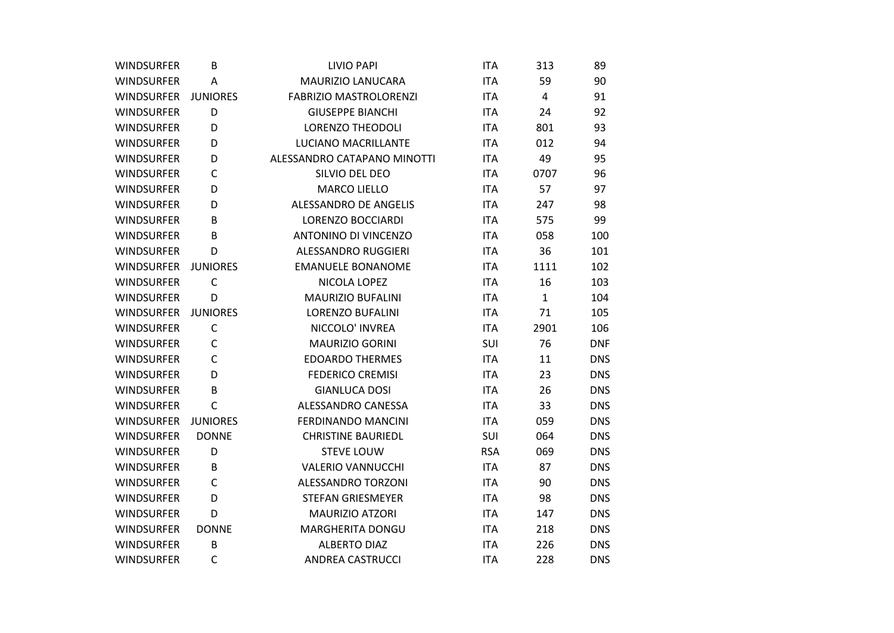| <b>WINDSURFER</b> | B               | <b>LIVIO PAPI</b>             | <b>ITA</b> | 313            | 89         |
|-------------------|-----------------|-------------------------------|------------|----------------|------------|
| <b>WINDSURFER</b> | Α               | <b>MAURIZIO LANUCARA</b>      | <b>ITA</b> | 59             | 90         |
| <b>WINDSURFER</b> | <b>JUNIORES</b> | <b>FABRIZIO MASTROLORENZI</b> | <b>ITA</b> | $\overline{4}$ | 91         |
| <b>WINDSURFER</b> | D               | <b>GIUSEPPE BIANCHI</b>       | <b>ITA</b> | 24             | 92         |
| <b>WINDSURFER</b> | D               | <b>LORENZO THEODOLI</b>       | <b>ITA</b> | 801            | 93         |
| <b>WINDSURFER</b> | D               | LUCIANO MACRILLANTE           | <b>ITA</b> | 012            | 94         |
| <b>WINDSURFER</b> | D               | ALESSANDRO CATAPANO MINOTTI   | <b>ITA</b> | 49             | 95         |
| <b>WINDSURFER</b> | C               | SILVIO DEL DEO                | <b>ITA</b> | 0707           | 96         |
| <b>WINDSURFER</b> | D               | <b>MARCO LIELLO</b>           | <b>ITA</b> | 57             | 97         |
| <b>WINDSURFER</b> | D               | ALESSANDRO DE ANGELIS         | <b>ITA</b> | 247            | 98         |
| <b>WINDSURFER</b> | B               | LORENZO BOCCIARDI             | <b>ITA</b> | 575            | 99         |
| <b>WINDSURFER</b> | B               | <b>ANTONINO DI VINCENZO</b>   | <b>ITA</b> | 058            | 100        |
| <b>WINDSURFER</b> | D               | ALESSANDRO RUGGIERI           | <b>ITA</b> | 36             | 101        |
| <b>WINDSURFER</b> | <b>JUNIORES</b> | <b>EMANUELE BONANOME</b>      | <b>ITA</b> | 1111           | 102        |
| <b>WINDSURFER</b> | $\mathsf{C}$    | NICOLA LOPEZ                  | <b>ITA</b> | 16             | 103        |
| <b>WINDSURFER</b> | D               | <b>MAURIZIO BUFALINI</b>      | <b>ITA</b> | $\mathbf{1}$   | 104        |
| <b>WINDSURFER</b> | <b>JUNIORES</b> | <b>LORENZO BUFALINI</b>       | <b>ITA</b> | 71             | 105        |
| <b>WINDSURFER</b> | $\mathsf C$     | NICCOLO' INVREA               | <b>ITA</b> | 2901           | 106        |
| <b>WINDSURFER</b> | $\mathsf{C}$    | <b>MAURIZIO GORINI</b>        | SUI        | 76             | <b>DNF</b> |
| <b>WINDSURFER</b> | $\mathsf C$     | <b>EDOARDO THERMES</b>        | <b>ITA</b> | 11             | <b>DNS</b> |
| <b>WINDSURFER</b> | D               | <b>FEDERICO CREMISI</b>       | <b>ITA</b> | 23             | <b>DNS</b> |
| <b>WINDSURFER</b> | B               | <b>GIANLUCA DOSI</b>          | <b>ITA</b> | 26             | <b>DNS</b> |
| <b>WINDSURFER</b> | $\mathsf{C}$    | ALESSANDRO CANESSA            | <b>ITA</b> | 33             | <b>DNS</b> |
| <b>WINDSURFER</b> | <b>JUNIORES</b> | <b>FERDINANDO MANCINI</b>     | <b>ITA</b> | 059            | <b>DNS</b> |
| <b>WINDSURFER</b> | <b>DONNE</b>    | <b>CHRISTINE BAURIEDL</b>     | SUI        | 064            | <b>DNS</b> |
| <b>WINDSURFER</b> | D               | <b>STEVE LOUW</b>             | <b>RSA</b> | 069            | <b>DNS</b> |
| <b>WINDSURFER</b> | B               | <b>VALERIO VANNUCCHI</b>      | <b>ITA</b> | 87             | <b>DNS</b> |
| <b>WINDSURFER</b> | $\mathsf{C}$    | <b>ALESSANDRO TORZONI</b>     | <b>ITA</b> | 90             | <b>DNS</b> |
| <b>WINDSURFER</b> | D               | <b>STEFAN GRIESMEYER</b>      | <b>ITA</b> | 98             | <b>DNS</b> |
| <b>WINDSURFER</b> | D               | <b>MAURIZIO ATZORI</b>        | <b>ITA</b> | 147            | <b>DNS</b> |
| <b>WINDSURFER</b> | <b>DONNE</b>    | <b>MARGHERITA DONGU</b>       | <b>ITA</b> | 218            | <b>DNS</b> |
| <b>WINDSURFER</b> | B               | <b>ALBERTO DIAZ</b>           | <b>ITA</b> | 226            | <b>DNS</b> |
| <b>WINDSURFER</b> | $\mathsf{C}$    | <b>ANDREA CASTRUCCI</b>       | <b>ITA</b> | 228            | <b>DNS</b> |